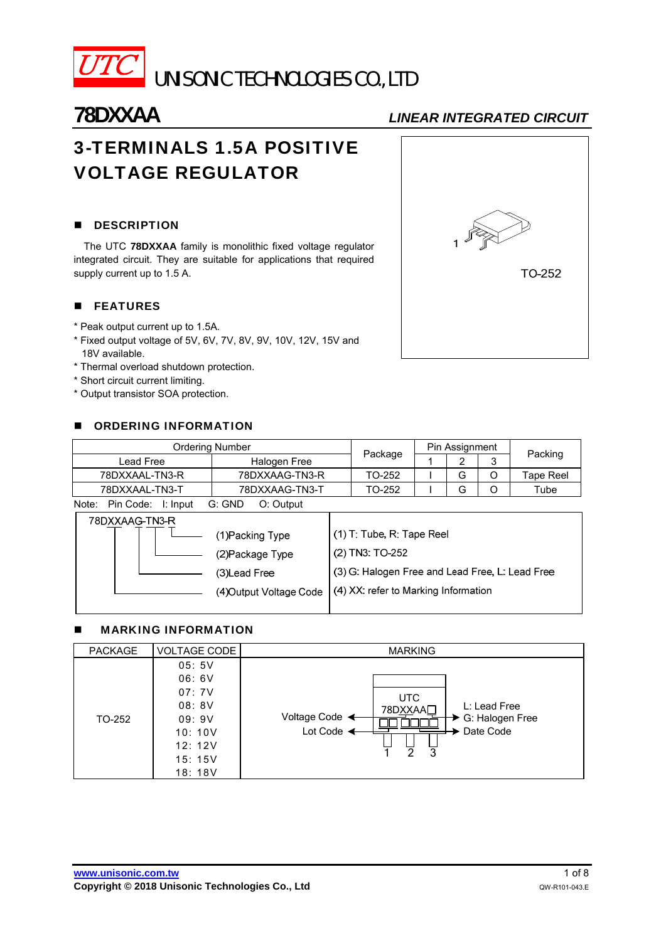

UNISONIC TECHNOLOGIES CO., LTD

# 3-TERMINALS 1.5A POSITIVE VOLTAGE REGULATOR

## **DESCRIPTION**

The UTC **78DXXAA** family is monolithic fixed voltage regulator integrated circuit. They are suitable for applications that required supply current up to 1.5 A.

# **FEATURES**

- \* Peak output current up to 1.5A.
- \* Fixed output voltage of 5V, 6V, 7V, 8V, 9V, 10V, 12V, 15V and 18V available.
- \* Thermal overload shutdown protection.
- \* Short circuit current limiting.
- \* Output transistor SOA protection.

## **DE ORDERING INFORMATION**

| <b>Ordering Number</b>           | Package             | Pin Assignment |   |   |           |
|----------------------------------|---------------------|----------------|---|---|-----------|
| Lead Free                        | Halogen Free        |                |   | 3 | Packing   |
| 78DXXAAL-TN3-R                   | 78DXXAAG-TN3-R      | TO-252         | G | Ο | Tape Reel |
| 78DXXAAL-TN3-T<br>78DXXAAG-TN3-T |                     | TO-252         | G |   | Tube      |
| Note:<br>Pin Code:<br>I: Input   | G: GND<br>O: Output |                |   |   |           |

| 78DXXAAG-TN3-R |                         |                                                 |
|----------------|-------------------------|-------------------------------------------------|
|                | (1)Packing Type         | (1) T: Tube, R: Tape Reel                       |
|                | (2) Package Type        | (2) TN3: TO-252                                 |
|                | (3)Lead Free            | (3) G: Halogen Free and Lead Free, L: Lead Free |
|                | (4) Output Voltage Code | (4) XX: refer to Marking Information            |

## MARKING INFORMATION

| <b>PACKAGE</b> | <b>VOLTAGE CODE</b>                                                               | <b>MARKING</b>                                                                                                   |
|----------------|-----------------------------------------------------------------------------------|------------------------------------------------------------------------------------------------------------------|
| TO-252         | 05:5V<br>06:6V<br>07:7V<br>08:8V<br>09:9V<br>10:10V<br>12:12V<br>15:15V<br>18:18V | <b>UTC</b><br>L: Lead Free<br>78DXXAAL<br>Voltage Code <<br>G: Halogen Free<br>Lot Code <<br>Date Code<br>ぅ<br>3 |

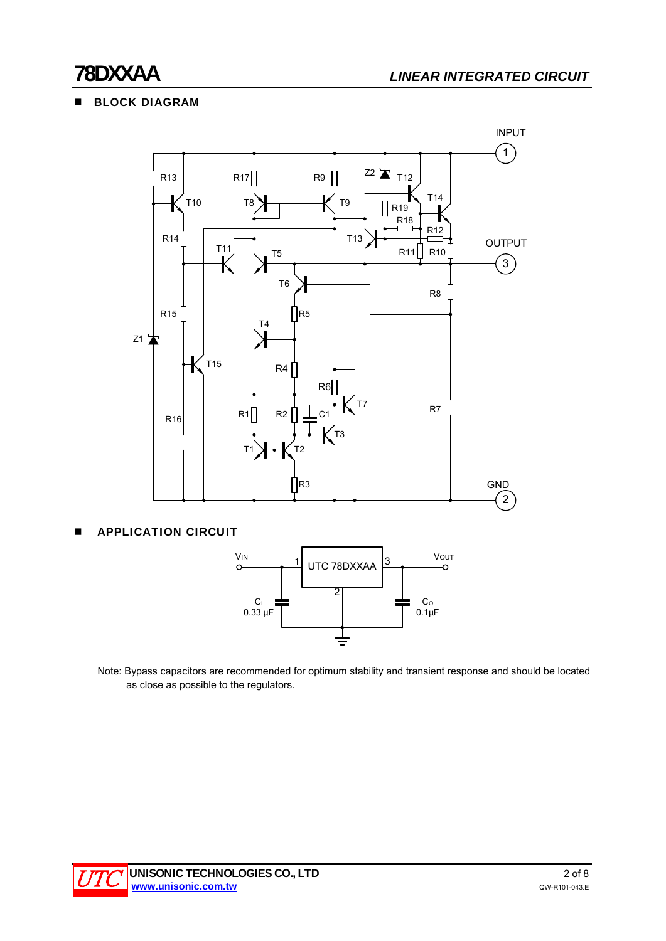# **BLOCK DIAGRAM**



APPLICATION CIRCUIT



Note: Bypass capacitors are recommended for optimum stability and transient response and should be located as close as possible to the regulators.

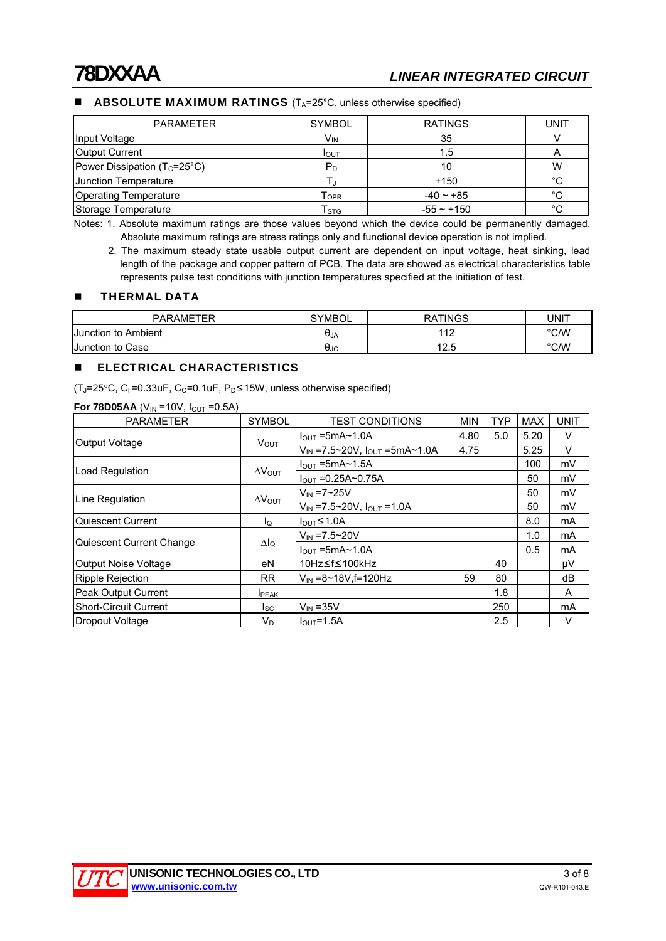### **ABSOLUTE MAXIMUM RATINGS**  $(T_A=25^\circ \text{C},$  unless otherwise specified)

| <b>PARAMETER</b>                      | <b>SYMBOL</b>               | <b>RATINGS</b> | UNIT |
|---------------------------------------|-----------------------------|----------------|------|
| Input Voltage                         | V <sub>IN</sub>             | 35             |      |
| <b>Output Current</b>                 | <b>I</b> OUT                | 1.5            | A    |
| Power Dissipation $(T_c=25^{\circ}C)$ | P <sub>D</sub>              | 10             | W    |
| <b>Junction Temperature</b>           |                             | +150           | °C   |
| Operating Temperature                 | $\mathsf{T}_{\mathsf{OPR}}$ | $-40 - +85$    | °C   |
| Storage Temperature                   | $\mathsf{T}_{\textsf{STG}}$ | $-55 - +150$   | °C   |

Notes: 1. Absolute maximum ratings are those values beyond which the device could be permanently damaged. Absolute maximum ratings are stress ratings only and functional device operation is not implied.

2. The maximum steady state usable output current are dependent on input voltage, heat sinking, lead length of the package and copper pattern of PCB. The data are showed as electrical characteristics table represents pulse test conditions with junction temperatures specified at the initiation of test.

#### **THERMAL DATA**

| <b>PARAMETER</b>           | <b>SYMBOL</b> | <b>RATINGS</b> | UNIT          |
|----------------------------|---------------|----------------|---------------|
| <b>Junction to Ambient</b> | UJA           | 110            | $\degree$ C/W |
| Junction to Case           | UJC           | 1 O F<br>ں ۔   | $\degree$ C/W |

#### **ELECTRICAL CHARACTERISTICS**

(T<sub>J</sub>=25°C, C<sub>I</sub>=0.33uF, C<sub>O</sub>=0.1uF, P<sub>D</sub>≤15W, unless otherwise specified)

| $\cdot$ $\cdot$ $\cdot$ $\cdot$ $\cdot$<br>$\cdots$ |                         |                                            |            |            |            |             |
|-----------------------------------------------------|-------------------------|--------------------------------------------|------------|------------|------------|-------------|
| <b>PARAMETER</b>                                    | <b>SYMBOL</b>           | <b>TEST CONDITIONS</b>                     | <b>MIN</b> | <b>TYP</b> | <b>MAX</b> | <b>UNIT</b> |
|                                                     |                         | $I_{\text{OUT}}$ =5mA~1.0A                 | 4.80       | 5.0        | 5.20       | V           |
| <b>Output Voltage</b>                               | $V_{\text{OUT}}$        | $V_{IN}$ =7.5~20V, $I_{OUT}$ =5mA~1.0A     | 4.75       |            | 5.25       | V           |
|                                                     |                         | $I_{\text{OUT}}$ =5mA~1.5A                 |            |            | 100        | mV          |
| Load Regulation                                     | $\Delta V_{\text{OUT}}$ | $I_{OUT} = 0.25A \sim 0.75A$               |            |            | 50         | mV          |
|                                                     |                         | $V_{\text{IN}} = 7 - 25V$                  |            |            | 50         | mV          |
| Line Regulation                                     | $\Delta V_{\text{OUT}}$ | $V_{IN} = 7.5 \sim 20V$ , $I_{OUT} = 1.0A$ |            |            | 50         | mV          |
| Quiescent Current                                   | ΙQ                      | $I_{\text{OUT}}$ $\leq$ 1.0A               |            |            | 8.0        | mA          |
|                                                     |                         | $V_{IN} = 7.5 \sim 20V$                    |            |            | 1.0        | mA          |
| Quiescent Current Change                            | $\Delta I_Q$            | $I_{OUT}$ =5mA~1.0A                        |            |            | 0.5        | mA          |
| Output Noise Voltage                                | eN                      | 10Hz≤f≤100kHz                              |            | 40         |            | μV          |
| <b>Ripple Rejection</b>                             | <b>RR</b>               | $V_{\text{IN}} = 8 \times 18V$ , f=120Hz   | 59         | 80         |            | dB          |
| Peak Output Current                                 | <b>I</b> PEAK           |                                            |            | 1.8        |            | A           |
| <b>Short-Circuit Current</b>                        | lsc.                    | $V_{IN}$ = 35 $V$                          |            | 250        |            | <b>mA</b>   |
| Dropout Voltage                                     | $V_D$                   | $I_{OUT} = 1.5A$                           |            | 2.5        |            | V           |

**For 78D05AA**  $(V_{1N} = 10V, I_{2N} = 0.5A)$ 

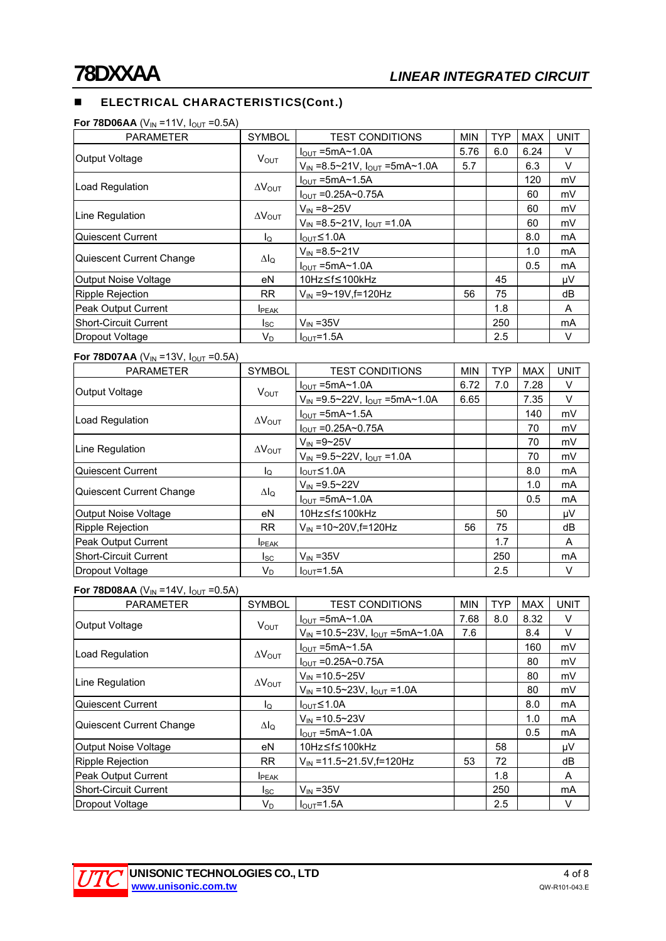# **ELECTRICAL CHARACTERISTICS(Cont.)**

|  | <b>For 78D06AA</b> (V <sub>IN</sub> =11V, $I_{\text{OUT}}$ =0.5A) |  |
|--|-------------------------------------------------------------------|--|
|--|-------------------------------------------------------------------|--|

| <b>PARAMETER</b>         | <b>SYMBOL</b>           | <b>TEST CONDITIONS</b>                                  | <b>MIN</b> | <b>TYP</b> | <b>MAX</b> | <b>UNIT</b>    |
|--------------------------|-------------------------|---------------------------------------------------------|------------|------------|------------|----------------|
|                          |                         | $I_{\text{OUT}}$ =5mA $\sim$ 1.0A                       | 5.76       | 6.0        | 6.24       | V              |
| <b>Output Voltage</b>    | <b>V</b> <sub>OUT</sub> | $V_{IN} = 8.5 \times 21V$ , $I_{OUT} = 5mA \times 1.0A$ | 5.7        |            | 6.3        | V              |
| Load Regulation          |                         | $I_{\text{OUT}}$ =5mA $\sim$ 1.5A                       |            |            | 120        | mV             |
|                          | $\Delta V_{\text{OUT}}$ | $I_{\text{OUT}} = 0.25A \sim 0.75A$                     |            |            | 60         | mV             |
| Line Regulation          |                         | $V_{IN} = 8 - 25V$                                      |            |            | 60         | mV             |
|                          | $\Delta V_{\text{OUT}}$ | $V_{IN} = 8.5 \sim 21V$ , $I_{OUT} = 1.0A$              |            |            | 60         | mV             |
| Quiescent Current        | lo                      | $I_{\text{OUT}} \leq 1.0$ A                             |            |            | 8.0        | mA             |
|                          |                         | $V_{IN} = 8.5 - 21V$                                    |            |            | 1.0        | m <sub>A</sub> |
| Quiescent Current Change | Δlο                     | $I_{\text{OUT}}$ =5mA $\sim$ 1.0A                       |            |            | 0.5        | m <sub>A</sub> |
| Output Noise Voltage     | eN                      | 10Hz≤f≤100kHz                                           |            | 45         |            | μV             |
| Ripple Rejection         | <b>RR</b>               | $V_{IN} = 9 \sim 19V$ , f=120Hz                         | 56         | 75         |            | dB             |
| Peak Output Current      | <b>I</b> PEAK           |                                                         |            | 1.8        |            | A              |
| Short-Circuit Current    | l <sub>SC</sub>         | $V_{IN}$ = 35 $V$                                       |            | 250        |            | mA             |
| Dropout Voltage          | V <sub>D</sub>          | $IOUT=1.5A$                                             |            | 2.5        |            | V              |

#### **For 78D07AA** ( $V_{IN}$  =13V,  $I_{OUT}$  =0.5A)

| <b>FUI (ODUIAA</b> (VIN = 13V, IOUT = 0.0A) |                         |                                                         |            |            |      |             |
|---------------------------------------------|-------------------------|---------------------------------------------------------|------------|------------|------|-------------|
| <b>PARAMETER</b>                            | <b>SYMBOL</b>           | <b>TEST CONDITIONS</b>                                  | <b>MIN</b> | <b>TYP</b> | MAX  | <b>UNIT</b> |
|                                             |                         | $I_{\text{OUT}}$ =5mA~1.0A                              | 6.72       | 7.0        | 7.28 | V           |
| Output Voltage                              | $V_{OUT}$               | $V_{IN} = 9.5 \times 22V$ , $I_{OUT} = 5mA \times 1.0A$ | 6.65       |            | 7.35 | $\vee$      |
|                                             |                         | $I_{\text{OUT}}$ =5mA~1.5A                              |            |            | 140  | mV          |
| Load Regulation                             | $\Delta V_{\text{OUT}}$ | $I_{OUT} = 0.25A \sim 0.75A$                            |            |            | 70   | mV          |
| Line Regulation                             | $\Delta V_{\text{OUT}}$ | $V_{IN} = 9 - 25V$                                      |            |            | 70   | mV          |
|                                             |                         | $V_{IN} = 9.5 \sim 22V$ , $I_{OUT} = 1.0A$              |            |            | 70   | mV          |
| Quiescent Current                           | $I_{\mathsf{Q}}$        | $I_{\text{OUT}}$ $\leq$ 1.0A                            |            |            | 8.0  | mA          |
|                                             |                         | $V_{IN} = 9.5 - 22V$                                    |            |            | 1.0  | mA          |
| Quiescent Current Change                    | $\Delta I_Q$            | $I_{\text{OUT}}$ =5mA~1.0A                              |            |            | 0.5  | mA          |
| Output Noise Voltage                        | eN                      | 10Hz≤f≤100kHz                                           |            | 50         |      | μV          |
| Ripple Rejection                            | <b>RR</b>               | $V_{IN} = 10 - 20V, f = 120Hz$                          | 56         | 75         |      | dB          |
| Peak Output Current                         | <b>I</b> PEAK           |                                                         |            | 1.7        |      | A           |
| Short-Circuit Current                       | $I_{SC}$                | $V_{IN}$ = 35V                                          |            | 250        |      | mA          |
| Dropout Voltage                             | $V_D$                   | $I_{\text{OUT}}=1.5A$                                   |            | 2.5        |      | V           |

#### **For 78D08AA** ( $V_{IN}$  =14V,  $I_{OUT}$  =0.5A)

| <b>PARAMETER</b>             | <b>SYMBOL</b>           | <b>TEST CONDITIONS</b>                        | <b>MIN</b> | <b>TYP</b> | <b>MAX</b> | <b>UNIT</b> |
|------------------------------|-------------------------|-----------------------------------------------|------------|------------|------------|-------------|
|                              |                         | $I_{\text{OUT}}$ =5mA $\sim$ 1.0A             | 7.68       | 8.0        | 8.32       | V           |
| Output Voltage               | <b>VOUT</b>             | $V_{IN}$ =10.5~23V, $I_{OUT}$ =5mA~1.0A       | 7.6        |            | 8.4        | V           |
|                              |                         | $I_{\text{OUT}}$ =5mA $\sim$ 1.5A             |            |            | 160        | mV          |
| Load Regulation              | $\Delta V_{\text{OUT}}$ | $I_{\text{OUT}} = 0.25A \sim 0.75A$           |            |            | 80         | mV          |
|                              |                         | $V_{IN} = 10.5 - 25V$                         |            |            | 80         | mV          |
| Line Regulation              | $\Delta V_{\text{OUT}}$ | $V_{IN} = 10.5 \times 23V$ , $I_{OUT} = 1.0A$ |            |            | 80         | mV          |
| Quiescent Current            | ΙQ                      | $I_{\text{OUT}}$ $\leq$ 1.0A                  |            |            | 8.0        | mA          |
|                              |                         | $V_{IN} = 10.5 - 23V$                         |            |            | 1.0        | mA          |
| Quiescent Current Change     | Δlo                     | $I_{OUT}$ =5mA~1.0A                           |            |            | 0.5        | mA          |
| Output Noise Voltage         | еN                      | 10Hz≤f≤100kHz                                 |            | 58         |            | μV          |
| <b>Ripple Rejection</b>      | RR.                     | $V_{IN}$ = 11.5~21.5V, f = 120Hz              | 53         | 72         |            | dB          |
| Peak Output Current          | <b>I</b> PEAK           |                                               |            | 1.8        |            | A           |
| <b>Short-Circuit Current</b> | lsc.                    | $V_{IN}$ = 35V                                |            | 250        |            | mA          |
| Dropout Voltage              | V <sub>D</sub>          | $I_{OUT} = 1.5A$                              |            | 2.5        |            | V           |

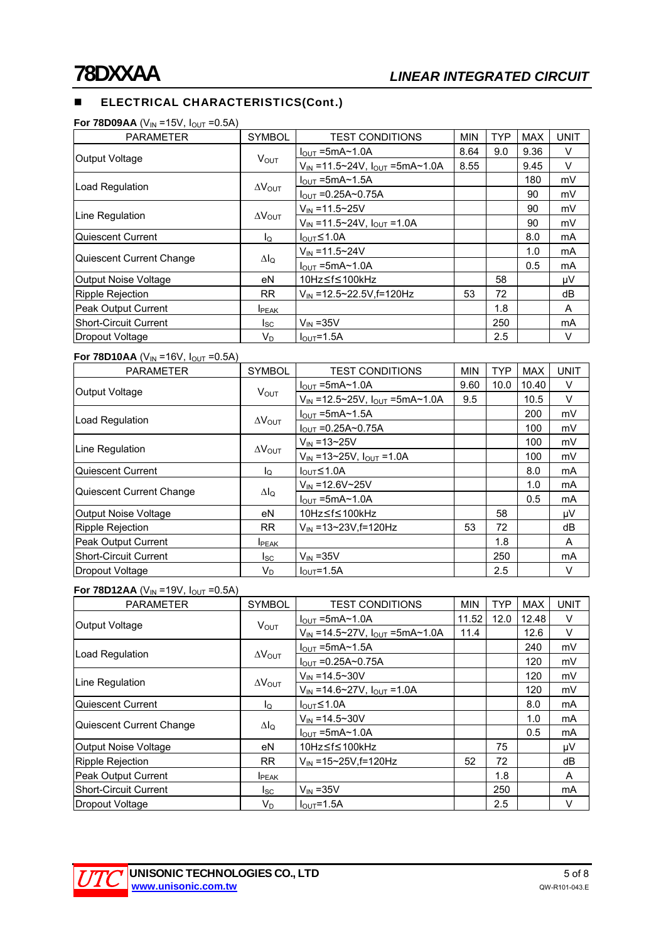# **ELECTRICAL CHARACTERISTICS(Cont.)**

| For 78D09AA (V $_{\sf IN}$ =15V, I $_{\sf OUT}$ =0.5A) |  |  |  |  |
|--------------------------------------------------------|--|--|--|--|
|--------------------------------------------------------|--|--|--|--|

| <b>PARAMETER</b>             | <b>SYMBOL</b>           | <b>TEST CONDITIONS</b>                                   | <b>MIN</b> | <b>TYP</b> | <b>MAX</b> | <b>UNIT</b> |
|------------------------------|-------------------------|----------------------------------------------------------|------------|------------|------------|-------------|
|                              |                         | $I_{\text{OUT}}$ =5mA $\sim$ 1.0A                        | 8.64       | 9.0        | 9.36       | V           |
| Output Voltage               | <b>V</b> <sub>OUT</sub> | $V_{IN} = 11.5 \times 24V$ , $I_{OUT} = 5mA \times 1.0A$ | 8.55       |            | 9.45       | V           |
|                              |                         | $I_{\text{OUT}}$ =5mA~1.5A                               |            |            | 180        | mV          |
| Load Regulation              | $\Delta V_{\text{OUT}}$ | $I_{\text{OUT}} = 0.25A \sim 0.75A$                      |            |            | 90         | mV          |
| Line Regulation              |                         | $V_{IN} = 11.5 \times 25V$                               |            |            | 90         | mV          |
|                              | $\Delta V_{\text{OUT}}$ | $V_{IN} = 11.5 \times 24V$ , $I_{OUT} = 1.0A$            |            |            | 90         | mV          |
| Quiescent Current            | lo                      | $I_{\text{OUT}} \leq 1.0$ A                              |            |            | 8.0        | mA          |
|                              |                         | $V_{IN} = 11.5 - 24V$                                    |            |            | 1.0        | mA          |
| Quiescent Current Change     | Δlο                     | $I_{OUT} = 5mA \sim 1.0A$                                |            |            | 0.5        | mA          |
| Output Noise Voltage         | eN                      | 10Hz≤f≤100kHz                                            |            | 58         |            | μV          |
| <b>Ripple Rejection</b>      | <b>RR</b>               | V <sub>IN</sub> =12.5~22.5V.f=120Hz                      | 53         | 72         |            | dB          |
| <b>Peak Output Current</b>   | <b>I</b> PEAK           |                                                          |            | 1.8        |            | A           |
| <b>Short-Circuit Current</b> | Isc                     | $V_{IN}$ = 35 $V$                                        |            | 250        |            | mA          |
| Dropout Voltage              | V <sub>D</sub>          | $IOUT=1.5A$                                              |            | 2.5        |            | V           |

#### **For 78D10AA** ( $V_{IN}$  =16V,  $I_{OUT}$  =0.5A)

| <b>PARAMETER</b>             | <b>SYMBOL</b>           | <b>TEST CONDITIONS</b>                  | <b>MIN</b> | <b>TYP</b> | <b>MAX</b> | <b>UNIT</b> |
|------------------------------|-------------------------|-----------------------------------------|------------|------------|------------|-------------|
| Output Voltage               | <b>VOUT</b>             | $I_{OUT}$ =5mA~1.0A                     | 9.60       | 10.0       | 10.40      | V           |
|                              |                         | $V_{IN}$ =12.5~25V, $I_{OUT}$ =5mA~1.0A | 9.5        |            | 10.5       | V           |
| Load Regulation              | $\Delta V_{\text{OUT}}$ | $I_{\text{OUT}}$ =5mA~1.5A              |            |            | 200        | mV          |
|                              |                         | $I_{OUT} = 0.25A \sim 0.75A$            |            |            | 100        | mV          |
| Line Regulation              | $\Delta V_{\text{OUT}}$ | $V_{IN} = 13 - 25V$                     |            |            | 100        | mV          |
|                              |                         | $V_{IN} = 13 - 25V$ , $I_{OUT} = 1.0A$  |            |            | 100        | mV          |
| Quiescent Current            | ΙQ                      | $I_{OUT} \leq 1.0A$                     |            |            | 8.0        | mA          |
| Quiescent Current Change     | $\Delta I_Q$            | $V_{\text{IN}} = 12.6 V \sim 25 V$      |            |            | 1.0        | mA          |
|                              |                         | $I_{OUT}$ =5mA~1.0A                     |            |            | 0.5        | mA          |
| Output Noise Voltage         | eN                      | 10Hz≤f≤100kHz                           |            | 58         |            | μV          |
| Ripple Rejection             | <b>RR</b>               | $V_{\text{IN}}$ =13~23V, f=120Hz        | 53         | 72         |            | dB          |
| Peak Output Current          | <b>I</b> PEAK           |                                         |            | 1.8        |            | A           |
| <b>Short-Circuit Current</b> | lsc.                    | $V_{IN}$ = 35V                          |            | 250        |            | mA          |
| Dropout Voltage              | V <sub>D</sub>          | $I_{OUT} = 1.5A$                        |            | 2.5        |            | V           |

#### **For 78D12AA** ( $V_{IN}$  =19V,  $I_{OUT}$  =0.5A)

| <b>PARAMETER</b>             | <b>SYMBOL</b>           | <b>TEST CONDITIONS</b>                                   | <b>MIN</b> | <b>TYP</b> | <b>MAX</b> | <b>UNIT</b> |
|------------------------------|-------------------------|----------------------------------------------------------|------------|------------|------------|-------------|
| <b>Output Voltage</b>        | <b>V</b> <sub>OUT</sub> | $I_{\text{OUT}}$ =5mA $\sim$ 1.0A                        | 11.52      | 12.0       | 12.48      | V           |
|                              |                         | $V_{IN} = 14.5 \times 27V$ , $I_{OUT} = 5mA \times 1.0A$ | 11.4       |            | 12.6       | V           |
| Load Regulation              | $\Delta V_{\text{OUT}}$ | $I_{\text{OUT}}$ =5mA $\sim$ 1.5A                        |            |            | 240        | mV          |
|                              |                         | $I_{\text{OUT}} = 0.25A \sim 0.75A$                      |            |            | 120        | mV          |
| Line Regulation              | $\Delta V_{\text{OUT}}$ | $V_{IN} = 14.5 \times 30V$                               |            |            | 120        | mV          |
|                              |                         | $V_{IN} = 14.6 \times 27V$ , $I_{OUT} = 1.0A$            |            |            | 120        | mV          |
| Quiescent Current            | ΙQ                      | $I_{OUT} \leq 1.0A$                                      |            |            | 8.0        | mA          |
| Quiescent Current Change     | Δlo                     | $V_{IN} = 14.5 \times 30V$                               |            |            | 1.0        | <b>mA</b>   |
|                              |                         | $I_{OUT}$ =5mA~1.0A                                      |            |            | 0.5        | <b>mA</b>   |
| Output Noise Voltage         | еN                      | 10Hz≤f≤100kHz                                            |            | 75         |            | μV          |
| <b>Ripple Rejection</b>      | RR.                     | $V_{IN}$ =15~25V, f=120Hz                                | 52         | 72         |            | dB          |
| <b>Peak Output Current</b>   | <b>I</b> PEAK           |                                                          |            | 1.8        |            | A           |
| <b>Short-Circuit Current</b> | lsc.                    | $V_{IN}$ = 35 $V$                                        |            | 250        |            | mA          |
| Dropout Voltage              | V <sub>D</sub>          | $I_{OUT} = 1.5A$                                         |            | 2.5        |            | V           |

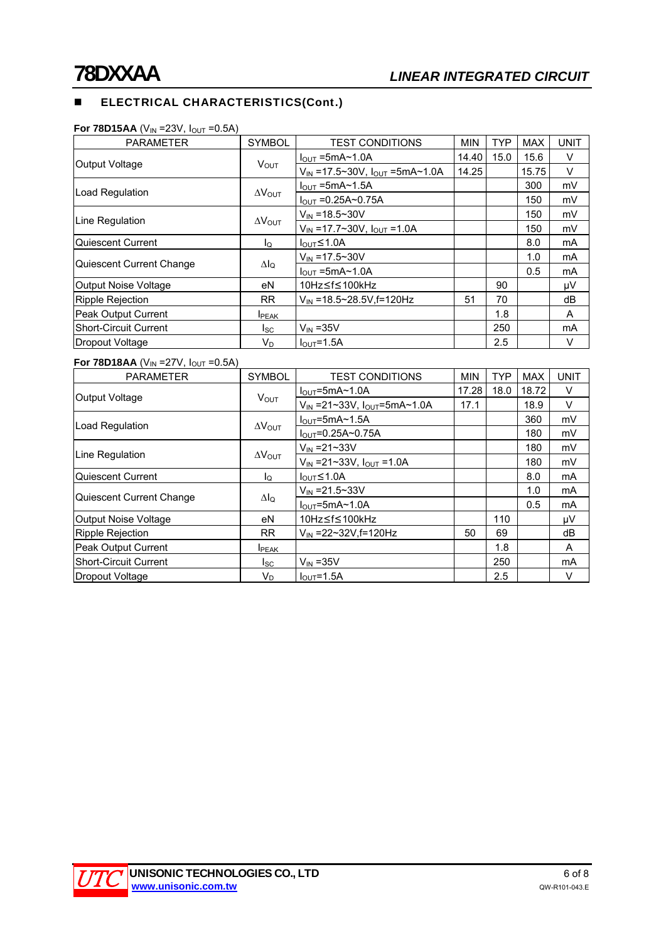# **ELECTRICAL CHARACTERISTICS(Cont.)**

| <b>PARAMETER</b>             | <b>SYMBOL</b>           | <b>TEST CONDITIONS</b>                  | <b>MIN</b> | <b>TYP</b> | <b>MAX</b> | <b>UNIT</b> |
|------------------------------|-------------------------|-----------------------------------------|------------|------------|------------|-------------|
| Output Voltage               | $V_{\text{OUT}}$        | $I_{\text{OUT}}$ =5mA~1.0A              | 14.40      | 15.0       | 15.6       | V           |
|                              |                         | $V_{IN}$ =17.5~30V, $I_{OUT}$ =5mA~1.0A | 14.25      |            | 15.75      | V           |
|                              | $\Delta V_{\text{OUT}}$ | $I_{\text{OUT}}$ =5mA $\sim$ 1.5A       |            |            | 300        | mV          |
| Load Regulation              |                         | $I_{\text{OUT}} = 0.25A \sim 0.75A$     |            |            | 150        | mV          |
| Line Regulation              | $\Delta V_{\text{OUT}}$ | $V_{IN} = 18.5 \times 30V$              |            |            | 150        | mV          |
|                              |                         | $V_{IN}$ =17.7~30V, $I_{OUT}$ =1.0A     |            |            | 150        | mV          |
| Quiescent Current            | l <sub>Q</sub>          | $I_{\text{OUT}}$ $\leq$ 1.0A            |            |            | 8.0        | mA          |
|                              | $\Delta I_Q$            | $V_{IN} = 17.5 \times 30V$              |            |            | 1.0        | mA          |
| Quiescent Current Change     |                         | $I_{OUT}$ =5mA~1.0A                     |            |            | 0.5        | mA          |
| Output Noise Voltage         | eN                      | 10Hz≤f≤100kHz                           |            | 90         |            | μV          |
| Ripple Rejection             | RR                      | $V_{IN}$ = 18.5~28.5V, f = 120Hz        | 51         | 70         |            | dB          |
| Peak Output Current          | <b>I</b> PEAK           |                                         |            | 1.8        |            | A           |
| <b>Short-Circuit Current</b> | Isc                     | $V_{IN}$ = 35V                          |            | 250        |            | mA          |
| Dropout Voltage              | $V_D$                   | $I_{\text{OUT}}=1.5A$                   |            | 2.5        |            | V           |
|                              |                         |                                         |            |            |            |             |

#### **For 78D15AA** (V<sub>IN</sub> =23V,  $I_{\text{OUT}}$  =0.5A)

# **For 78D18AA** ( $V_{IN}$  =27V,  $I_{OUT}$  =0.5A)

| <b>PARAMETER</b>         | <b>SYMBOL</b>           | <b>TEST CONDITIONS</b>                              | <b>MIN</b> | <b>TYP</b> | <b>MAX</b> | <b>UNIT</b>    |
|--------------------------|-------------------------|-----------------------------------------------------|------------|------------|------------|----------------|
| Output Voltage           | <b>VOUT</b>             | $IOUT=5mA~1.0A$                                     | 17.28      | 18.0       | 18.72      | $\vee$         |
|                          |                         | $V_{\text{IN}}$ =21~33V, $I_{\text{OUT}}$ =5mA~1.0A | 17.1       |            | 18.9       | V              |
| Load Regulation          | $\Delta V_{\text{OUT}}$ | $IOUT=5mA~1.5A$                                     |            |            | 360        | mV             |
|                          |                         | $I_{\text{OUT}} = 0.25A - 0.75A$                    |            |            | 180        | mV             |
| Line Regulation          | $\Delta V_{\text{OUT}}$ | $V_{IN} = 21 - 33V$                                 |            |            | 180        | mV             |
|                          |                         | $V_{IN}$ = 21~33V, $I_{OUT}$ = 1.0A                 |            |            | 180        | mV             |
| Quiescent Current        | lo                      | $I_{\text{OUT}} \leq 1.0$ A                         |            |            | 8.0        | m <sub>A</sub> |
| Quiescent Current Change | Δlο                     | $V_{IN} = 21.5 \times 33V$                          |            |            | 1.0        | mA             |
|                          |                         | $IOUT=5mA~1.0A$                                     |            |            | 0.5        | m <sub>A</sub> |
| Output Noise Voltage     | eN                      | 10Hz≤f≤100kHz                                       |            | 110        |            | μV             |
| Ripple Rejection         | <b>RR</b>               | V <sub>IN</sub> = 22~32V.f = 120Hz                  | 50         | 69         |            | dB             |
| Peak Output Current      | <b>I</b> PEAK           |                                                     |            | 1.8        |            | A              |
| Short-Circuit Current    | Isc                     | $V_{IN}$ = 35 $V$                                   |            | 250        |            | mA             |
| Dropout Voltage          | V <sub>D</sub>          | $IOUT=1.5A$                                         |            | 2.5        |            | V              |

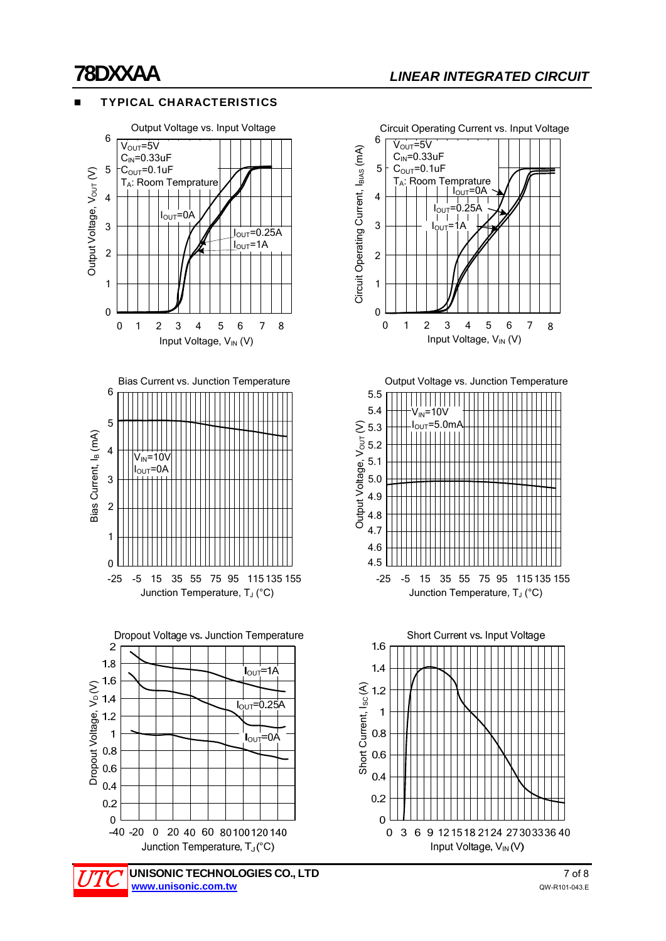# TYPICAL CHARACTERISTICS





Circuit Operating Current vs. Input Voltage 6  $V<sub>OUT</sub>=5V$ Circuit Operating Current, l<sub>BIAS</sub> (mA) Circuit Operating Current, I<sub>BIAS</sub> (mA)  $C<sub>IN</sub>=0.33uF$ 5  $C_{\text{OUT}}=0.1$ uF  $T_A$ : Room Temprature  $I_{\text{OUT}} = 0A$ 4  $I_{\text{OUT}} = 0.25$ 3 IOUT=1A 2 1 0 01234567 8 Input Voltage, V<sub>IN</sub> (V)